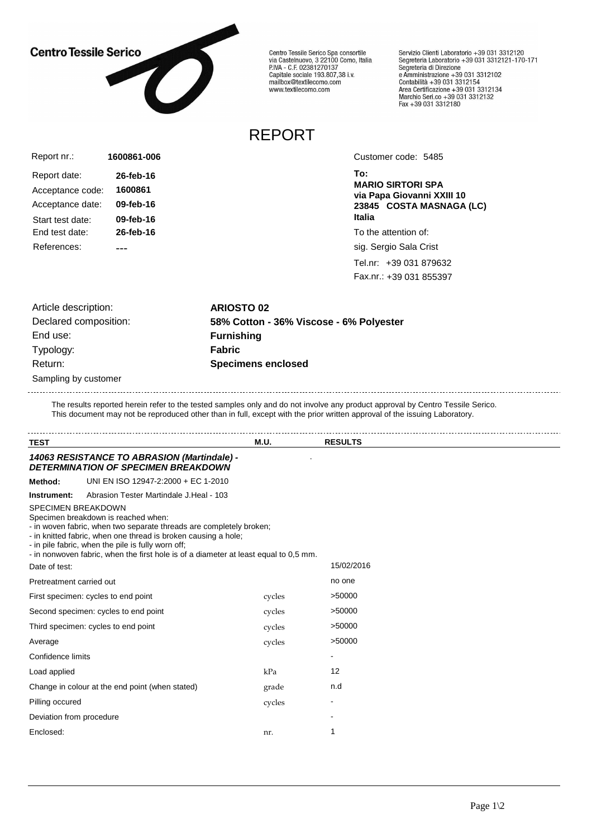## **Centro Tessile Serico**



Centro Tessile Serico Spa consortile<br>via Castelnuovo, 3 22100 Como, Italia<br>P.IVA - C.F. 02381270137 Capitale sociale 193.807,38 i.v.<br>Capitale sociale 193.807,38 i.v.<br>mailbox@textilecomo.com www.textilecomo.com

Servizio Clienti Laboratorio +39 031 3312120 Servizio che il Laboratorio +39 031 3312121-170-171<br>Segreteria Laboratorio +39 031 3312121-170-171 Segreteria di Direzione<br>e Amministrazione +39 031 3312102<br>Contabilità +39 031 3312154<br>Area Certificazione +39 031 3312134<br>Marchio Seri.co +39 031 3312132<br>Fax +39 031 3312180

## REPORT

| Report nr.:      | 1600861-006 |
|------------------|-------------|
| Report date:     | 26-feb-16   |
| Acceptance code: | 1600861     |
| Acceptance date: | 09-feb-16   |
| Start test date: | 09-feb-16   |
| Fnd test date:   | 26-feb-16   |
| References:      |             |

Customer code: 5485

**To: MARIO SIRTORI SPA via Papa Giovanni XXIII 10 23845 COSTA MASNAGA (LC) Italia**

To the attention of:

sig. Sergio Sala Crist

Tel.nr: +39 031 879632 Fax.nr.: +39 031 855397

Sampling by customer Article description: **ARIOSTO 02** End use: **Furnishing** Typology: **Fabric** Return: **Specimens enclosed**

Declared composition: **58% Cotton - 36% Viscose - 6% Polyester**

The results reported herein refer to the tested samples only and do not involve any product approval by Centro Tessile Serico. This document may not be reproduced other than in full, except with the prior written approval of the issuing Laboratory.

| <b>TEST</b>                         |                                                                                                                                                                                                                                                                                                                            | M.U.   | <b>RESULTS</b>           |
|-------------------------------------|----------------------------------------------------------------------------------------------------------------------------------------------------------------------------------------------------------------------------------------------------------------------------------------------------------------------------|--------|--------------------------|
|                                     | 14063 RESISTANCE TO ABRASION (Martindale) -<br><b>DETERMINATION OF SPECIMEN BREAKDOWN</b>                                                                                                                                                                                                                                  |        |                          |
| Method:                             | UNI EN ISO 12947-2:2000 + EC 1-2010                                                                                                                                                                                                                                                                                        |        |                          |
| Instrument:                         | Abrasion Tester Martindale J. Heal - 103                                                                                                                                                                                                                                                                                   |        |                          |
| <b>SPECIMEN BREAKDOWN</b>           | Specimen breakdown is reached when:<br>- in woven fabric, when two separate threads are completely broken;<br>- in knitted fabric, when one thread is broken causing a hole;<br>- in pile fabric, when the pile is fully worn off;<br>- in nonwoven fabric, when the first hole is of a diameter at least equal to 0,5 mm. |        |                          |
| Date of test:                       |                                                                                                                                                                                                                                                                                                                            |        | 15/02/2016               |
| Pretreatment carried out            |                                                                                                                                                                                                                                                                                                                            |        | no one                   |
|                                     | First specimen: cycles to end point                                                                                                                                                                                                                                                                                        | cycles | >50000                   |
|                                     | Second specimen: cycles to end point                                                                                                                                                                                                                                                                                       | cycles | >50000                   |
| Third specimen: cycles to end point |                                                                                                                                                                                                                                                                                                                            | cycles | >50000                   |
| Average                             |                                                                                                                                                                                                                                                                                                                            | cycles | >50000                   |
| Confidence limits                   |                                                                                                                                                                                                                                                                                                                            |        | $\overline{\phantom{a}}$ |
| Load applied                        |                                                                                                                                                                                                                                                                                                                            | kPa    | 12                       |
|                                     | Change in colour at the end point (when stated)                                                                                                                                                                                                                                                                            | grade  | n.d                      |
| Pilling occured                     |                                                                                                                                                                                                                                                                                                                            | cycles |                          |
| Deviation from procedure            |                                                                                                                                                                                                                                                                                                                            |        |                          |
| Enclosed:                           |                                                                                                                                                                                                                                                                                                                            | nr.    | 1                        |